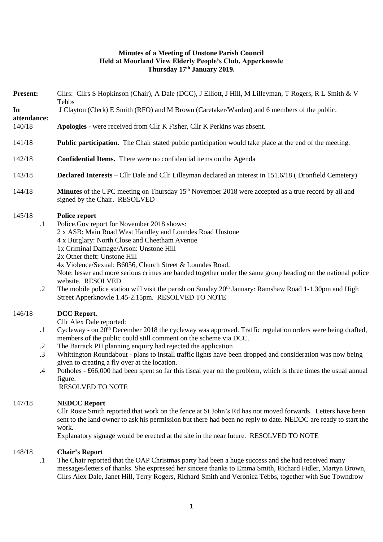# **Minutes of a Meeting of Unstone Parish Council Held at Moorland View Elderly People's Club, Apperknowle Thursday 17th January 2019.**

| <b>Present:</b>                                        | Cllrs: Cllrs S Hopkinson (Chair), A Dale (DCC), J Elliott, J Hill, M Lilleyman, T Rogers, R L Smith & V<br>Tebbs                                                                                                                                                                                                                                                                                                                                                                                                                                                                                                                    |
|--------------------------------------------------------|-------------------------------------------------------------------------------------------------------------------------------------------------------------------------------------------------------------------------------------------------------------------------------------------------------------------------------------------------------------------------------------------------------------------------------------------------------------------------------------------------------------------------------------------------------------------------------------------------------------------------------------|
| In                                                     | J Clayton (Clerk) E Smith (RFO) and M Brown (Caretaker/Warden) and 6 members of the public.                                                                                                                                                                                                                                                                                                                                                                                                                                                                                                                                         |
| attendance:<br>140/18                                  | Apologies - were received from Cllr K Fisher, Cllr K Perkins was absent.                                                                                                                                                                                                                                                                                                                                                                                                                                                                                                                                                            |
| 141/18                                                 | <b>Public participation</b> . The Chair stated public participation would take place at the end of the meeting.                                                                                                                                                                                                                                                                                                                                                                                                                                                                                                                     |
| 142/18                                                 | <b>Confidential Items.</b> There were no confidential items on the Agenda                                                                                                                                                                                                                                                                                                                                                                                                                                                                                                                                                           |
| 143/18                                                 | <b>Declared Interests</b> – Cllr Dale and Cllr Lilleyman declared an interest in 151.6/18 (Dronfield Cemetery)                                                                                                                                                                                                                                                                                                                                                                                                                                                                                                                      |
| 144/18                                                 | Minutes of the UPC meeting on Thursday 15 <sup>th</sup> November 2018 were accepted as a true record by all and<br>signed by the Chair. RESOLVED                                                                                                                                                                                                                                                                                                                                                                                                                                                                                    |
| 145/18<br>$\cdot$<br>$\cdot$ .2                        | Police report<br>Police.Gov report for November 2018 shows:<br>2 x ASB: Main Road West Handley and Loundes Road Unstone<br>4 x Burglary: North Close and Cheetham Avenue<br>1x Criminal Damage/Arson: Unstone Hill<br>2x Other theft: Unstone Hill<br>4x Violence/Sexual: B6056, Church Street & Loundes Road.<br>Note: lesser and more serious crimes are banded together under the same group heading on the national police<br>website. RESOLVED<br>The mobile police station will visit the parish on Sunday $20th$ January: Ramshaw Road 1-1.30pm and High<br>Street Apperknowle 1.45-2.15pm. RESOLVED TO NOTE                 |
| 146/18<br>$\cdot$<br>$\cdot$<br>$\cdot$ 3<br>$\cdot$ 4 | <b>DCC</b> Report.<br>Cllr Alex Dale reported:<br>Cycleway - on 20 <sup>th</sup> December 2018 the cycleway was approved. Traffic regulation orders were being drafted,<br>members of the public could still comment on the scheme via DCC.<br>The Barrack PH planning enquiry had rejected the application<br>Whittington Roundabout - plans to install traffic lights have been dropped and consideration was now being<br>given to creating a fly over at the location.<br>Potholes - £66,000 had been spent so far this fiscal year on the problem, which is three times the usual annual<br>figure.<br><b>RESOLVED TO NOTE</b> |
| 147/18                                                 | <b>NEDCC Report</b><br>Cllr Rosie Smith reported that work on the fence at St John's Rd has not moved forwards. Letters have been<br>sent to the land owner to ask his permission but there had been no reply to date. NEDDC are ready to start the<br>work.<br>Explanatory signage would be erected at the site in the near future. RESOLVED TO NOTE                                                                                                                                                                                                                                                                               |
| 148/18<br>$\cdot$                                      | <b>Chair's Report</b><br>The Chair reported that the OAP Christmas party had been a huge success and she had received many<br>messages/letters of thanks. She expressed her sincere thanks to Emma Smith, Richard Fidler, Martyn Brown,<br>Cllrs Alex Dale, Janet Hill, Terry Rogers, Richard Smith and Veronica Tebbs, together with Sue Towndrow                                                                                                                                                                                                                                                                                  |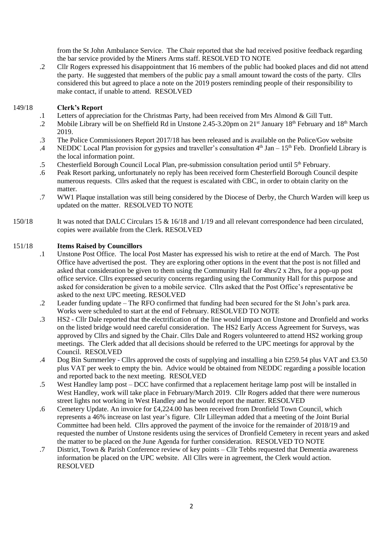from the St John Ambulance Service. The Chair reported that she had received positive feedback regarding the bar service provided by the Miners Arms staff. RESOLVED TO NOTE

.2 Cllr Rogers expressed his disappointment that 16 members of the public had booked places and did not attend the party. He suggested that members of the public pay a small amount toward the costs of the party. Cllrs considered this but agreed to place a note on the 2019 posters reminding people of their responsibility to make contact, if unable to attend. RESOLVED

### 149/18 **Clerk's Report**

- .1 Letters of appreciation for the Christmas Party, had been received from Mrs Almond & Gill Tutt.
- .2 Mobile Library will be on Sheffield Rd in Unstone 2.45-3.20pm on 21<sup>st</sup> January 18<sup>th</sup> February and 18<sup>th</sup> March 2019.
- .3 The Police Commissioners Report 2017/18 has been released and is available on the Police/Gov website
- .4 NEDDC Local Plan provision for gypsies and traveller's consultation 4<sup>th</sup> Jan – 15<sup>th</sup> Feb. Dronfield Library is the local information point.
- .5 Chesterfield Borough Council Local Plan, pre-submission consultation period until 5<sup>th</sup> February.
- .6 Peak Resort parking, unfortunately no reply has been received form Chesterfield Borough Council despite numerous requests. Cllrs asked that the request is escalated with CBC, in order to obtain clarity on the matter.
- .7 WW1 Plaque installation was still being considered by the Diocese of Derby, the Church Warden will keep us updated on the matter. RESOLVED TO NOTE
- 150/18 It was noted that DALC Circulars 15 & 16/18 and 1/19 and all relevant correspondence had been circulated, copies were available from the Clerk. RESOLVED

### 151/18 **Items Raised by Councillors**

- .1 Unstone Post Office. The local Post Master has expressed his wish to retire at the end of March. The Post Office have advertised the post. They are exploring other options in the event that the post is not filled and asked that consideration be given to them using the Community Hall for 4hrs/2 x 2hrs, for a pop-up post office service. Cllrs expressed security concerns regarding using the Community Hall for this purpose and asked for consideration be given to a mobile service. Cllrs asked that the Post Office's representative be asked to the next UPC meeting. RESOLVED
- .2 Leader funding update – The RFO confirmed that funding had been secured for the St John's park area. Works were scheduled to start at the end of February. RESOLVED TO NOTE
- .3 HS2 - Cllr Dale reported that the electrification of the line would impact on Unstone and Dronfield and works on the listed bridge would need careful consideration. The HS2 Early Access Agreement for Surveys, was approved by Cllrs and signed by the Chair. Cllrs Dale and Rogers volunteered to attend HS2 working group meetings. The Clerk added that all decisions should be referred to the UPC meetings for approval by the Council. RESOLVED
- .4 Dog Bin Summerley - Cllrs approved the costs of supplying and installing a bin £259.54 plus VAT and £3.50 plus VAT per week to empty the bin. Advice would be obtained from NEDDC regarding a possible location and reported back to the next meeting. RESOLVED
- .5 West Handley lamp post – DCC have confirmed that a replacement heritage lamp post will be installed in West Handley, work will take place in February/March 2019. Cllr Rogers added that there were numerous street lights not working in West Handley and he would report the matter. RESOLVED
- .6 Cemetery Update. An invoice for £4,224.00 has been received from Dronfield Town Council, which represents a 46% increase on last year's figure. Cllr Lilleyman added that a meeting of the Joint Burial Committee had been held. Cllrs approved the payment of the invoice for the remainder of 2018/19 and requested the number of Unstone residents using the services of Dronfield Cemetery in recent years and asked the matter to be placed on the June Agenda for further consideration. RESOLVED TO NOTE
- .7 District, Town & Parish Conference review of key points – Cllr Tebbs requested that Dementia awareness information be placed on the UPC website. All Cllrs were in agreement, the Clerk would action. RESOLVED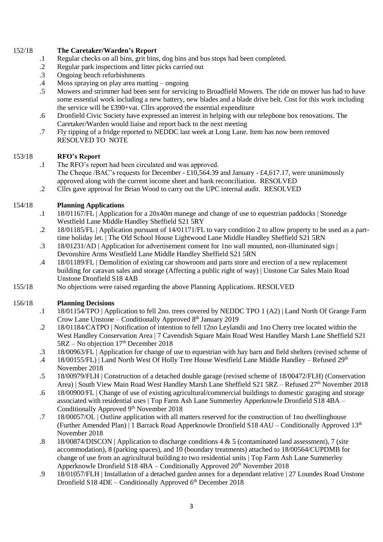### 152/18 **The Caretaker/Warden's Report**

- .1 Regular checks on all bins, grit bins, dog bins and bus stops had been completed.
- .2 Regular park inspections and litter picks carried out
- .3 Ongoing bench refurbishments
- .4 Moss spraying on play area matting – ongoing
- .5 Mowers and strimmer had been sent for servicing to Broadfield Mowers. The ride on mower has had to have some essential work including a new battery, new blades and a blade drive belt. Cost for this work including the service will be £390+vat. Cllrs approved the essential expenditure
- .6 Dronfield Civic Society have expressed an interest in helping with our telephone box renovations. The Caretaker/Warden would liaise and report back to the next meeting
- .7 Fly tipping of a fridge reported to NEDDC last week at Long Lane. Item has now been removed RESOLVED TO NOTE

# 153/18 **RFO's Report**

- .1 The RFO's report had been circulated and was approved. The Cheque /BAC's requests for December -  $\text{\pounds}10,564.39$  and January -  $\text{\pounds}4,617.17$ , were unanimously approved along with the current income sheet and bank reconciliation. RESOLVED
- .2 Cllrs gave approval for Brian Wood to carry out the UPC internal audit. RESOLVED

### 154/18 **Planning Applications**

- .1 18/01167/FL | Application for a 20x40m manege and change of use to equestrian paddocks | Stonedge Westfield Lane Middle Handley Sheffield S21 5RY
- .2 18/01185/FL | Application pursuant of 14/01171/FL to vary condition 2 to allow property to be used as a parttime holiday let. | The Old School House Lightwood Lane Middle Handley Sheffield S21 5RN
- .3 18/01231/AD | Application for advertisement consent for 1no wall mounted, non-illuminated sign | Devonshire Arms Westfield Lane Middle Handley Sheffield S21 5RN
- .4 18/01189/FL | Demolition of existing car showroom and parts store and erection of a new replacement building for caravan sales and storage (Affecting a public right of way) | Unstone Car Sales Main Road Unstone Dronfield S18 4AB
- 155/18 No objections were raised regarding the above Planning Applications. RESOLVED

### 156/18 **Planning Decisions**

- .1 18/01154/TPO | Application to fell 2no. trees covered by NEDDC TPO 1 (A2) | Land North Of Grange Farm Crow Lane Unstone – Conditionally Approved  $8<sup>th</sup>$  January 2019
- .2 18/01184/CATPO | Notification of intention to fell 12no Leylandii and 1no Cherry tree located within the West Handley Conservation Area | 7 Cavendish Square Main Road West Handley Marsh Lane Sheffield S21  $5RZ - No$  objection  $17<sup>th</sup>$  December 2018
- .3 18/00963/FL | Application for change of use to equestrian with hay barn and field shelters (revised scheme of
- .4 18/00155/FL) | Land North West Of Holly Tree House Westfield Lane Middle Handley – Refused 29<sup>th</sup> November 2018
- .5 18/00979/FLH | Construction of a detached double garage (revised scheme of 18/00472/FLH) (Conservation Area) | South View Main Road West Handley Marsh Lane Sheffield S21 5RZ – Refused 27th November 2018
- .6 18/00900/FL | Change of use of existing agricultural/commercial buildings to domestic garaging and storage associated with residential uses | Top Farm Ash Lane Summerley Apperknowle Dronfield S18 4BA – Conditionally Approved 9<sup>th</sup> November 2018
- .7 18/00057/OL | Outline application with all matters reserved for the construction of 1no dwellinghouse (Further Amended Plan) | 1 Barrack Road Apperknowle Dronfield S18 4AU – Conditionally Approved 13th November 2018
- .8 18/00874/DISCON | Application to discharge conditions  $4 \& 5$  (contaminated land assessment), 7 (site accommodation), 8 (parking spaces), and 10 (boundary treatments) attached to 18/00564/CUPDMB for change of use from an agricultural building to two residential units | Top Farm Ash Lane Summerley Apperknowle Dronfield S18 4BA – Conditionally Approved 20<sup>th</sup> November 2018
- .9 18/01057/FLH | Installation of a detached garden annex for a dependant relative | 27 Loundes Road Unstone Dronfield S18  $4DE$  – Conditionally Approved  $6<sup>th</sup>$  December 2018